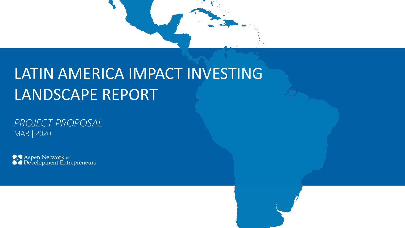

### LATIN AMERICA IMPACT INVESTING LANDSCAPE REPORT

*PROJECT PROPOSAL* MAR | 2020

**ASPEN Network of** SASPEN Development Entrepreneurs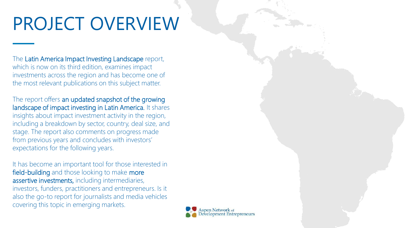## PROJECT OVERVIEW

The Latin America Impact Investing Landscape report, which is now on its third edition, examines impact investments across the region and has become one of the most relevant publications on this subject matter.

The report offers an updated snapshot of the growing landscape of impact investing in Latin America. It shares insights about impact investment activity in the region, including a breakdown by sector, country, deal size, and stage. The report also comments on progress made from previous years and concludes with investors' expectations for the following years.

It has become an important tool for those interested in field-building and those looking to make more assertive investments, including intermediaries, investors, funders, practitioners and entrepreneurs. Is it also the go-to report for journalists and media vehicles covering this topic in emerging markets.

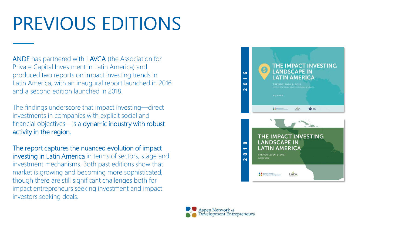## PREVIOUS EDITIONS

ANDE has partnered with LAVCA (the Association for Private Capital Investment in Latin America) and produced two reports on impact investing trends in Latin America, with an inaugural report launched in 2016 and a second edition launched in 2018.

The findings underscore that impact investing—direct investments in companies with explicit social and financial objectives—is a dynamic industry with robust activity in the region.

The report captures the nuanced evolution of impact investing in Latin America in terms of sectors, stage and investment mechanisms. Both past editions show that market is growing and becoming more sophisticated, though there are still significant challenges both for impact entrepreneurs seeking investment and impact investors seeking deals.



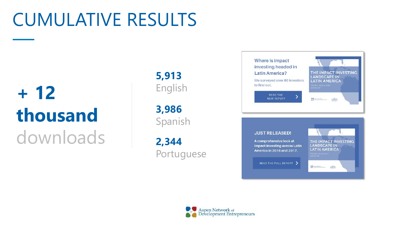### CUMULATIVE RESULTS

# **+ 12 thousand** downloads

**5,913** English

**3,986** Spanish

**2,344** Portuguese



#### **JUST RELEASED!**

A comprehensive look at impact investing across Latin America in 2016 and 2017.

THE IMPACT INVESTING **LANDSCAPE IN LATIN AMERICA** 

READ THE FULL REPORT



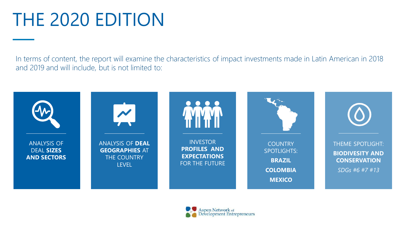## THE 2020 EDITION

In terms of content, the report will examine the characteristics of impact investments made in Latin American in 2018 and 2019 and will include, but is not limited to:



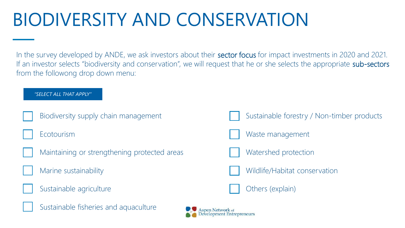## BIODIVERSITY AND CONSERVATION

In the survey developed by ANDE, we ask investors about their **sector focus** for impact investments in 2020 and 2021. If an investor selects "biodiversity and conservation", we will request that he or she selects the appropriate sub-sectors from the followong drop down menu:

#### *"SELECT ALL THAT APPLY"*

Biodiversity supply chain management

**Ecotourism** 



- Marine sustainability
- Sustainable agriculture









Waste management





Others (explain)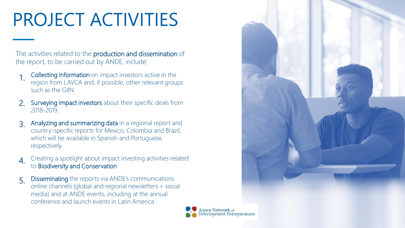## PROJECT ACTIVITIES

The activities related to the **production and dissemination** of the report, to be carried out by ANDE, include:

- Collecting information on impact investors active in the region from LAVCA and, if possible, other relevant groups such as the GIIN. 1.
- Surveying impact investors about their specific deals from 2018-2019. 2.
- Analyzing and summarizing data in a regional report and country-specific reports for Mexico, Colombia and Brazil, which will be available in Spanish and Portuguese, respectively. 3.
- Creating a spotlight about impact investing activities related to Biodiversity and Conservation. 4.
- Disseminating the reports via ANDE's communications online channels (global and regional newsletters + social media) and at ANDE events, including at the annual conference and launch events in Latin America. 5.



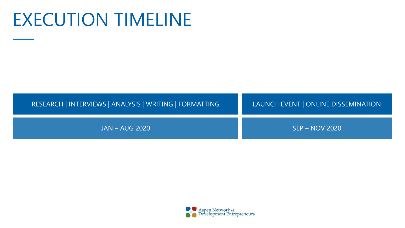### EXECUTION TIMELINE



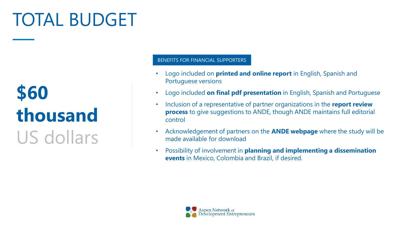## TOTAL BUDGET

## **\$60 thousand** US dollars

#### BENEFITS FOR FINANCIAL SUPPORTERS

- Logo included on **printed and online report** in English, Spanish and Portuguese versions
- Logo included **on final pdf presentation** in English, Spanish and Portuguese
- Inclusion of a representative of partner organizations in the **report review process** to give suggestions to ANDE, though ANDE maintains full editorial control
- Acknowledgement of partners on the **ANDE webpage** where the study will be made available for download
- Possibility of involvement in **planning and implementing a dissemination events** in Mexico, Colombia and Brazil, if desired.